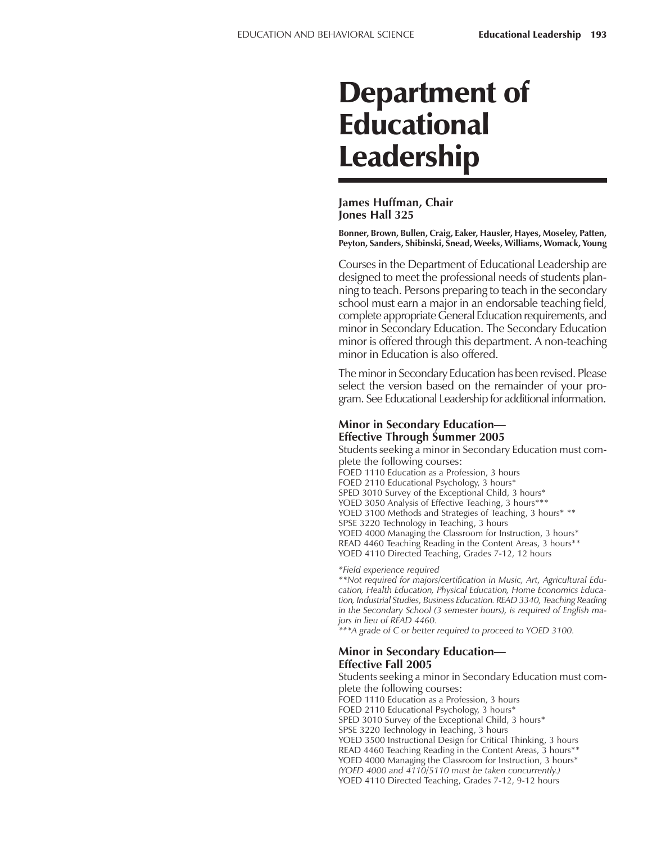# Department of Educational Leadership

#### **James Huffman, Chair Jones Hall 325**

**Bonner, Brown, Bullen, Craig, Eaker, Hausler, Hayes, Moseley, Patten, Peyton, Sanders, Shibinski, Snead, Weeks, Williams, Womack, Young**

Courses in the Department of Educational Leadership are designed to meet the professional needs of students planning to teach. Persons preparing to teach in the secondary school must earn a major in an endorsable teaching field, complete appropriate General Education requirements, and minor in Secondary Education. The Secondary Education minor is offered through this department. A non-teaching minor in Education is also offered.

The minor in Secondary Education has been revised. Please select the version based on the remainder of your program. See Educational Leadership for additional information.

## **Minor in Secondary Education— Effective Through Summer 2005**

Students seeking a minor in Secondary Education must complete the following courses:

FOED 1110 Education as a Profession, 3 hours

FOED 2110 Educational Psychology, 3 hours\*

SPED 3010 Survey of the Exceptional Child, 3 hours\*

YOED 3050 Analysis of Effective Teaching, 3 hours\*\*\*

YOED 3100 Methods and Strategies of Teaching, 3 hours\* \*\*

SPSE 3220 Technology in Teaching, 3 hours

YOED 4000 Managing the Classroom for Instruction, 3 hours\*

READ 4460 Teaching Reading in the Content Areas, 3 hours\*\*

YOED 4110 Directed Teaching, Grades 7-12, 12 hours

*\*Field experience required*

*\*\*Not required for majors/certification in Music, Art, Agricultural Education, Health Education, Physical Education, Home Economics Education, Industrial Studies, Business Education. READ 3340, Teaching Reading in the Secondary School (3 semester hours), is required of English majors in lieu of READ 4460.*

*\*\*\*A grade of C or better required to proceed to YOED 3100.*

#### **Minor in Secondary Education— Effective Fall 2005**

Students seeking a minor in Secondary Education must complete the following courses: FOED 1110 Education as a Profession, 3 hours FOED 2110 Educational Psychology, 3 hours\* SPED 3010 Survey of the Exceptional Child, 3 hours\* SPSE 3220 Technology in Teaching, 3 hours YOED 3500 Instructional Design for Critical Thinking, 3 hours READ 4460 Teaching Reading in the Content Areas, 3 hours\*\* YOED 4000 Managing the Classroom for Instruction, 3 hours\* *(YOED 4000 and 4110/5110 must be taken concurrently.)* YOED 4110 Directed Teaching, Grades 7-12, 9-12 hours